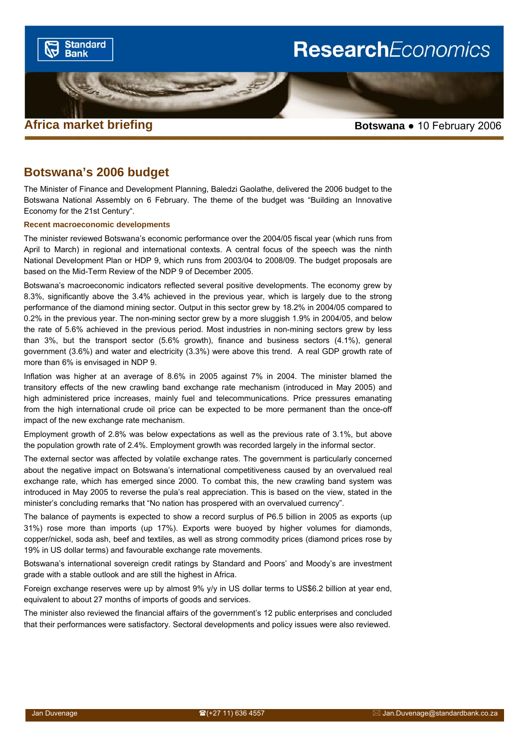

## **Botswana's 2006 budget**

The Minister of Finance and Development Planning, Baledzi Gaolathe, delivered the 2006 budget to the Botswana National Assembly on 6 February. The theme of the budget was "Building an Innovative Economy for the 21st Century".

#### **Recent macroeconomic developments**

The minister reviewed Botswana's economic performance over the 2004/05 fiscal year (which runs from April to March) in regional and international contexts. A central focus of the speech was the ninth National Development Plan or HDP 9, which runs from 2003/04 to 2008/09. The budget proposals are based on the Mid-Term Review of the NDP 9 of December 2005.

Botswana's macroeconomic indicators reflected several positive developments. The economy grew by 8.3%, significantly above the 3.4% achieved in the previous year, which is largely due to the strong performance of the diamond mining sector. Output in this sector grew by 18.2% in 2004/05 compared to 0.2% in the previous year. The non-mining sector grew by a more sluggish 1.9% in 2004/05, and below the rate of 5.6% achieved in the previous period. Most industries in non-mining sectors grew by less than 3%, but the transport sector (5.6% growth), finance and business sectors (4.1%), general government (3.6%) and water and electricity (3.3%) were above this trend. A real GDP growth rate of more than 6% is envisaged in NDP 9.

Inflation was higher at an average of 8.6% in 2005 against 7% in 2004. The minister blamed the transitory effects of the new crawling band exchange rate mechanism (introduced in May 2005) and high administered price increases, mainly fuel and telecommunications. Price pressures emanating from the high international crude oil price can be expected to be more permanent than the once-off impact of the new exchange rate mechanism.

Employment growth of 2.8% was below expectations as well as the previous rate of 3.1%, but above the population growth rate of 2.4%. Employment growth was recorded largely in the informal sector.

The external sector was affected by volatile exchange rates. The government is particularly concerned about the negative impact on Botswana's international competitiveness caused by an overvalued real exchange rate, which has emerged since 2000. To combat this, the new crawling band system was introduced in May 2005 to reverse the pula's real appreciation. This is based on the view, stated in the minister's concluding remarks that "No nation has prospered with an overvalued currency".

The balance of payments is expected to show a record surplus of P6.5 billion in 2005 as exports (up 31%) rose more than imports (up 17%). Exports were buoyed by higher volumes for diamonds, copper/nickel, soda ash, beef and textiles, as well as strong commodity prices (diamond prices rose by 19% in US dollar terms) and favourable exchange rate movements.

Botswana's international sovereign credit ratings by Standard and Poors' and Moody's are investment grade with a stable outlook and are still the highest in Africa.

Foreign exchange reserves were up by almost 9% y/y in US dollar terms to US\$6.2 billion at year end, equivalent to about 27 months of imports of goods and services.

The minister also reviewed the financial affairs of the government's 12 public enterprises and concluded that their performances were satisfactory. Sectoral developments and policy issues were also reviewed.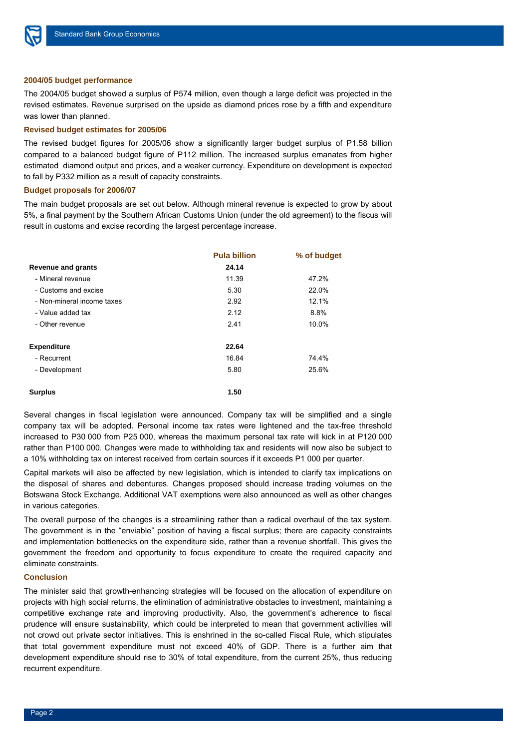

#### **2004/05 budget performance**

The 2004/05 budget showed a surplus of P574 million, even though a large deficit was projected in the revised estimates. Revenue surprised on the upside as diamond prices rose by a fifth and expenditure was lower than planned.

#### **Revised budget estimates for 2005/06**

The revised budget figures for 2005/06 show a significantly larger budget surplus of P1.58 billion compared to a balanced budget figure of P112 million. The increased surplus emanates from higher estimated diamond output and prices, and a weaker currency. Expenditure on development is expected to fall by P332 million as a result of capacity constraints.

## **Budget proposals for 2006/07**

The main budget proposals are set out below. Although mineral revenue is expected to grow by about 5%, a final payment by the Southern African Customs Union (under the old agreement) to the fiscus will result in customs and excise recording the largest percentage increase.

|                            | <b>Pula billion</b> | % of budget |
|----------------------------|---------------------|-------------|
| <b>Revenue and grants</b>  | 24.14               |             |
| - Mineral revenue          | 11.39               | 47.2%       |
| - Customs and excise       | 5.30                | 22.0%       |
| - Non-mineral income taxes | 2.92                | 12.1%       |
| - Value added tax          | 2.12                | 8.8%        |
| - Other revenue            | 2.41                | 10.0%       |
| <b>Expenditure</b>         | 22.64               |             |
| - Recurrent                | 16.84               | 74.4%       |
| - Development              | 5.80                | 25.6%       |
| <b>Surplus</b>             | 1.50                |             |

Several changes in fiscal legislation were announced. Company tax will be simplified and a single company tax will be adopted. Personal income tax rates were lightened and the tax-free threshold increased to P30 000 from P25 000, whereas the maximum personal tax rate will kick in at P120 000 rather than P100 000. Changes were made to withholding tax and residents will now also be subject to a 10% withholding tax on interest received from certain sources if it exceeds P1 000 per quarter.

Capital markets will also be affected by new legislation, which is intended to clarify tax implications on the disposal of shares and debentures. Changes proposed should increase trading volumes on the Botswana Stock Exchange. Additional VAT exemptions were also announced as well as other changes in various categories.

The overall purpose of the changes is a streamlining rather than a radical overhaul of the tax system. The government is in the "enviable" position of having a fiscal surplus; there are capacity constraints and implementation bottlenecks on the expenditure side, rather than a revenue shortfall. This gives the government the freedom and opportunity to focus expenditure to create the required capacity and eliminate constraints.

### **Conclusion**

The minister said that growth-enhancing strategies will be focused on the allocation of expenditure on projects with high social returns, the elimination of administrative obstacles to investment, maintaining a competitive exchange rate and improving productivity. Also, the government's adherence to fiscal prudence will ensure sustainability, which could be interpreted to mean that government activities will not crowd out private sector initiatives. This is enshrined in the so-called Fiscal Rule, which stipulates that total government expenditure must not exceed 40% of GDP. There is a further aim that development expenditure should rise to 30% of total expenditure, from the current 25%, thus reducing recurrent expenditure.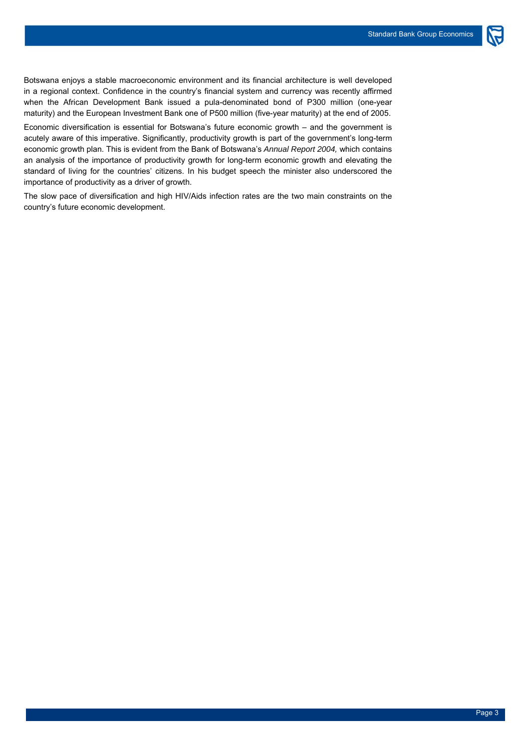Botswana enjoys a stable macroeconomic environment and its financial architecture is well developed in a regional context. Confidence in the country's financial system and currency was recently affirmed when the African Development Bank issued a pula-denominated bond of P300 million (one-year maturity) and the European Investment Bank one of P500 million (five-year maturity) at the end of 2005.

Economic diversification is essential for Botswana's future economic growth – and the government is acutely aware of this imperative. Significantly, productivity growth is part of the government's long-term economic growth plan. This is evident from the Bank of Botswana's *Annual Report 2004,* which contains an analysis of the importance of productivity growth for long-term economic growth and elevating the standard of living for the countries' citizens. In his budget speech the minister also underscored the importance of productivity as a driver of growth.

The slow pace of diversification and high HIV/Aids infection rates are the two main constraints on the country's future economic development.